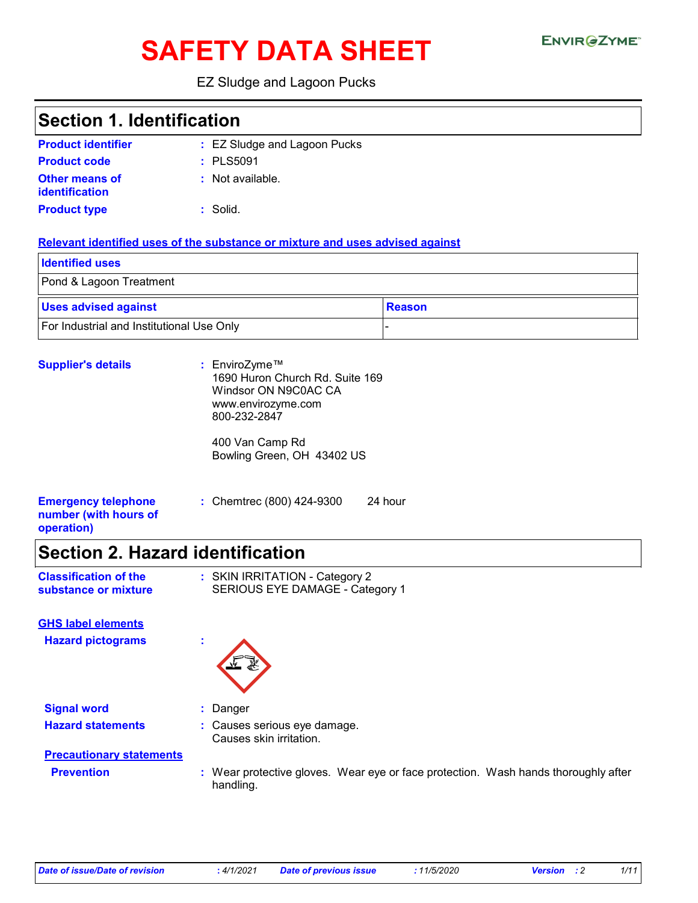# **SAFETY DATA SHEET**

### EZ Sludge and Lagoon Pucks

### **Section 1. Identification**

| <b>Product identifier</b>               | : EZ Sludge and Lagoon Pucks |
|-----------------------------------------|------------------------------|
| <b>Product code</b>                     | $:$ PLS5091                  |
| <b>Other means of</b><br>identification | : Not available.             |
| <b>Product type</b>                     | : Solid.                     |

#### **Relevant identified uses of the substance or mixture and uses advised against**

| <b>Identified uses</b>                    |               |
|-------------------------------------------|---------------|
| Pond & Lagoon Treatment                   |               |
| <b>Uses advised against</b>               | <b>Reason</b> |
| For Industrial and Institutional Use Only |               |

| <b>Supplier's details</b>                                         | : EnviroZyme™<br>1690 Huron Church Rd. Suite 169<br>Windsor ON N9C0AC CA<br>www.envirozyme.com<br>800-232-2847 |  |
|-------------------------------------------------------------------|----------------------------------------------------------------------------------------------------------------|--|
|                                                                   | 400 Van Camp Rd<br>Bowling Green, OH 43402 US                                                                  |  |
| <b>Emergency telephone</b><br>number (with hours of<br>operation) | : Chemtrec (800) 424-9300<br>24 hour                                                                           |  |

### **Section 2. Hazard identification**

| <b>Classification of the</b> | : SKIN IRRITATION - Category 2  |
|------------------------------|---------------------------------|
| substance or mixture         | SERIOUS EYE DAMAGE - Category 1 |

**Hazard pictograms : GHS label elements**



**Signal word :** Danger **Hazard statements :** Causes serious eye damage.

Causes skin irritation.

## **Precautionary statements**

**Prevention :** Wear protective gloves. Wear eye or face protection. Wash hands thoroughly after handling.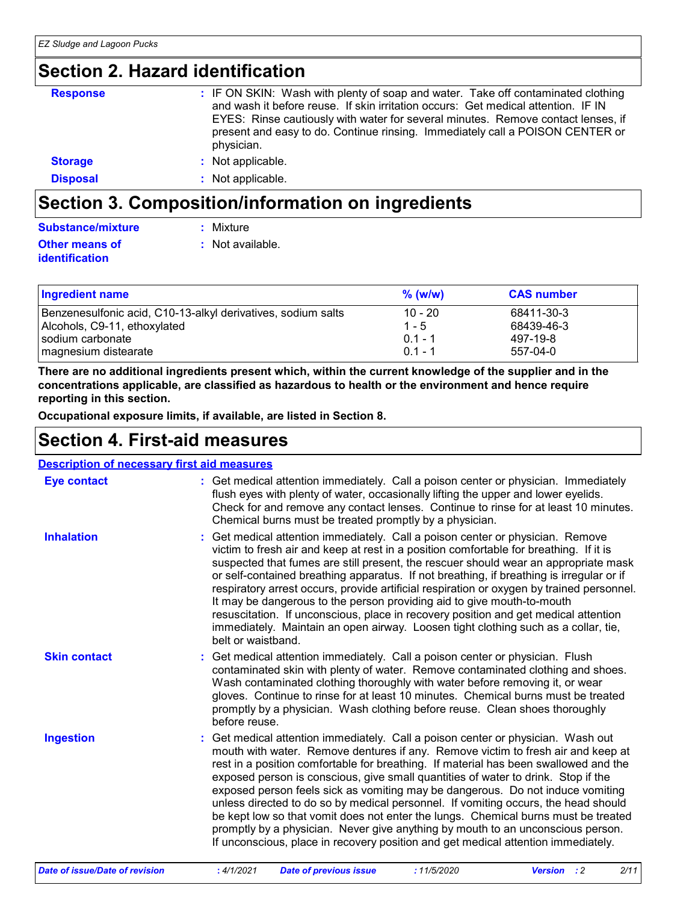### **Section 2. Hazard identification**

| <b>Response</b> | : IF ON SKIN: Wash with plenty of soap and water. Take off contaminated clothing<br>and wash it before reuse. If skin irritation occurs: Get medical attention. IF IN<br>EYES: Rinse cautiously with water for several minutes. Remove contact lenses, if<br>present and easy to do. Continue rinsing. Immediately call a POISON CENTER or<br>physician. |
|-----------------|----------------------------------------------------------------------------------------------------------------------------------------------------------------------------------------------------------------------------------------------------------------------------------------------------------------------------------------------------------|
| <b>Storage</b>  | : Not applicable.                                                                                                                                                                                                                                                                                                                                        |
| <b>Disposal</b> | : Not applicable.                                                                                                                                                                                                                                                                                                                                        |

### **Section 3. Composition/information on ingredients**

| Substance/mixture     | : Mixture        |
|-----------------------|------------------|
| <b>Other means of</b> | : Not available. |
| <i>identification</i> |                  |

| <b>Ingredient name</b>                                       | $%$ (w/w) | <b>CAS number</b> |
|--------------------------------------------------------------|-----------|-------------------|
| Benzenesulfonic acid, C10-13-alkyl derivatives, sodium salts | $10 - 20$ | 68411-30-3        |
| Alcohols, C9-11, ethoxylated                                 | $1 - 5$   | 68439-46-3        |
| I sodium carbonate                                           | $0.1 - 1$ | 497-19-8          |
| magnesium distearate                                         | $01 - 1$  | 557-04-0          |

**There are no additional ingredients present which, within the current knowledge of the supplier and in the concentrations applicable, are classified as hazardous to health or the environment and hence require reporting in this section.**

**Occupational exposure limits, if available, are listed in Section 8.**

### **Section 4. First-aid measures**

| <b>Description of necessary first aid measures</b> |                                                                                                                                                                                                                                                                                                                                                                                                                                                                                                                                                                                                                                                                                                                                                                                         |  |  |  |
|----------------------------------------------------|-----------------------------------------------------------------------------------------------------------------------------------------------------------------------------------------------------------------------------------------------------------------------------------------------------------------------------------------------------------------------------------------------------------------------------------------------------------------------------------------------------------------------------------------------------------------------------------------------------------------------------------------------------------------------------------------------------------------------------------------------------------------------------------------|--|--|--|
| <b>Eye contact</b>                                 | : Get medical attention immediately. Call a poison center or physician. Immediately<br>flush eyes with plenty of water, occasionally lifting the upper and lower eyelids.<br>Check for and remove any contact lenses. Continue to rinse for at least 10 minutes.<br>Chemical burns must be treated promptly by a physician.                                                                                                                                                                                                                                                                                                                                                                                                                                                             |  |  |  |
| <b>Inhalation</b>                                  | Get medical attention immediately. Call a poison center or physician. Remove<br>victim to fresh air and keep at rest in a position comfortable for breathing. If it is<br>suspected that fumes are still present, the rescuer should wear an appropriate mask<br>or self-contained breathing apparatus. If not breathing, if breathing is irregular or if<br>respiratory arrest occurs, provide artificial respiration or oxygen by trained personnel.<br>It may be dangerous to the person providing aid to give mouth-to-mouth<br>resuscitation. If unconscious, place in recovery position and get medical attention<br>immediately. Maintain an open airway. Loosen tight clothing such as a collar, tie,<br>belt or waistband.                                                     |  |  |  |
| <b>Skin contact</b>                                | Get medical attention immediately. Call a poison center or physician. Flush<br>contaminated skin with plenty of water. Remove contaminated clothing and shoes.<br>Wash contaminated clothing thoroughly with water before removing it, or wear<br>gloves. Continue to rinse for at least 10 minutes. Chemical burns must be treated<br>promptly by a physician. Wash clothing before reuse. Clean shoes thoroughly<br>before reuse.                                                                                                                                                                                                                                                                                                                                                     |  |  |  |
| <b>Ingestion</b>                                   | : Get medical attention immediately. Call a poison center or physician. Wash out<br>mouth with water. Remove dentures if any. Remove victim to fresh air and keep at<br>rest in a position comfortable for breathing. If material has been swallowed and the<br>exposed person is conscious, give small quantities of water to drink. Stop if the<br>exposed person feels sick as vomiting may be dangerous. Do not induce vomiting<br>unless directed to do so by medical personnel. If vomiting occurs, the head should<br>be kept low so that vomit does not enter the lungs. Chemical burns must be treated<br>promptly by a physician. Never give anything by mouth to an unconscious person.<br>If unconscious, place in recovery position and get medical attention immediately. |  |  |  |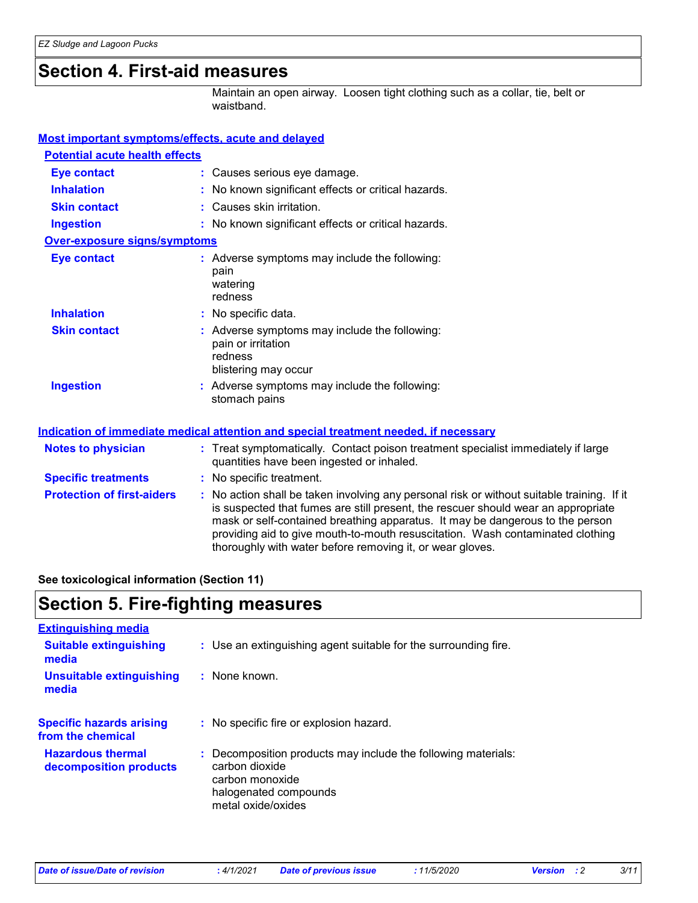### **Section 4. First-aid measures**

Maintain an open airway. Loosen tight clothing such as a collar, tie, belt or waistband.

#### **Most important symptoms/effects, acute and delayed**

| <b>Potential acute health effects</b> |                                                                                                                                                                                                                                                                                                                                                                                                                 |
|---------------------------------------|-----------------------------------------------------------------------------------------------------------------------------------------------------------------------------------------------------------------------------------------------------------------------------------------------------------------------------------------------------------------------------------------------------------------|
| <b>Eye contact</b>                    | : Causes serious eye damage.                                                                                                                                                                                                                                                                                                                                                                                    |
| <b>Inhalation</b>                     | : No known significant effects or critical hazards.                                                                                                                                                                                                                                                                                                                                                             |
| <b>Skin contact</b>                   | : Causes skin irritation.                                                                                                                                                                                                                                                                                                                                                                                       |
| <b>Ingestion</b>                      | : No known significant effects or critical hazards.                                                                                                                                                                                                                                                                                                                                                             |
| <b>Over-exposure signs/symptoms</b>   |                                                                                                                                                                                                                                                                                                                                                                                                                 |
| <b>Eye contact</b>                    | : Adverse symptoms may include the following:<br>pain<br>watering<br>redness                                                                                                                                                                                                                                                                                                                                    |
| <b>Inhalation</b>                     | : No specific data.                                                                                                                                                                                                                                                                                                                                                                                             |
| <b>Skin contact</b>                   | : Adverse symptoms may include the following:<br>pain or irritation<br>redness<br>blistering may occur                                                                                                                                                                                                                                                                                                          |
| <b>Ingestion</b>                      | : Adverse symptoms may include the following:<br>stomach pains                                                                                                                                                                                                                                                                                                                                                  |
|                                       | Indication of immediate medical attention and special treatment needed, if necessary                                                                                                                                                                                                                                                                                                                            |
| <b>Notes to physician</b>             | : Treat symptomatically. Contact poison treatment specialist immediately if large<br>quantities have been ingested or inhaled.                                                                                                                                                                                                                                                                                  |
| <b>Specific treatments</b>            | : No specific treatment.                                                                                                                                                                                                                                                                                                                                                                                        |
| <b>Protection of first-aiders</b>     | : No action shall be taken involving any personal risk or without suitable training. If it<br>is suspected that fumes are still present, the rescuer should wear an appropriate<br>mask or self-contained breathing apparatus. It may be dangerous to the person<br>providing aid to give mouth-to-mouth resuscitation. Wash contaminated clothing<br>thoroughly with water before removing it, or wear gloves. |

#### **See toxicological information (Section 11)**

### **Section 5. Fire-fighting measures**

| <b>Extinguishing media</b>                           |                                                                                                                                                   |
|------------------------------------------------------|---------------------------------------------------------------------------------------------------------------------------------------------------|
| <b>Suitable extinguishing</b><br>media               | : Use an extinguishing agent suitable for the surrounding fire.                                                                                   |
| <b>Unsuitable extinguishing</b><br>media             | $:$ None known.                                                                                                                                   |
| <b>Specific hazards arising</b><br>from the chemical | : No specific fire or explosion hazard.                                                                                                           |
| <b>Hazardous thermal</b><br>decomposition products   | : Decomposition products may include the following materials:<br>carbon dioxide<br>carbon monoxide<br>halogenated compounds<br>metal oxide/oxides |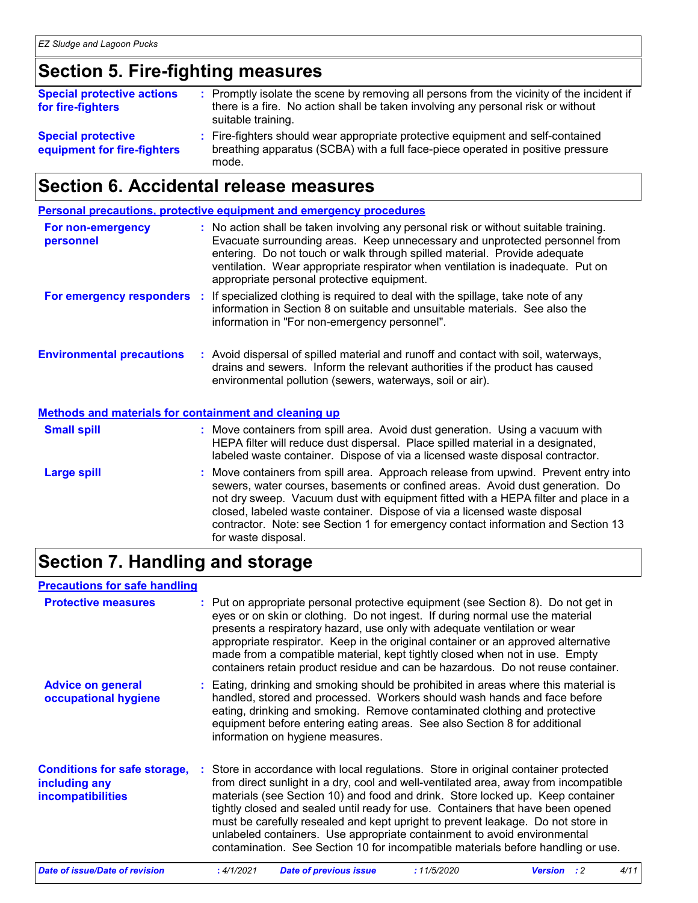### **Section 5. Fire-fighting measures**

| <b>Special protective actions</b><br>for fire-fighters   | : Promptly isolate the scene by removing all persons from the vicinity of the incident if<br>there is a fire. No action shall be taken involving any personal risk or without<br>suitable training. |
|----------------------------------------------------------|-----------------------------------------------------------------------------------------------------------------------------------------------------------------------------------------------------|
| <b>Special protective</b><br>equipment for fire-fighters | : Fire-fighters should wear appropriate protective equipment and self-contained<br>breathing apparatus (SCBA) with a full face-piece operated in positive pressure<br>mode.                         |

### **Section 6. Accidental release measures**

|                                                              | <b>Personal precautions, protective equipment and emergency procedures</b>                                                                                                                                                                                                                                                                                                                                                  |
|--------------------------------------------------------------|-----------------------------------------------------------------------------------------------------------------------------------------------------------------------------------------------------------------------------------------------------------------------------------------------------------------------------------------------------------------------------------------------------------------------------|
| For non-emergency<br>personnel                               | : No action shall be taken involving any personal risk or without suitable training.<br>Evacuate surrounding areas. Keep unnecessary and unprotected personnel from<br>entering. Do not touch or walk through spilled material. Provide adequate<br>ventilation. Wear appropriate respirator when ventilation is inadequate. Put on<br>appropriate personal protective equipment.                                           |
|                                                              | <b>For emergency responders</b> : If specialized clothing is required to deal with the spillage, take note of any<br>information in Section 8 on suitable and unsuitable materials. See also the<br>information in "For non-emergency personnel".                                                                                                                                                                           |
| <b>Environmental precautions</b>                             | : Avoid dispersal of spilled material and runoff and contact with soil, waterways,<br>drains and sewers. Inform the relevant authorities if the product has caused<br>environmental pollution (sewers, waterways, soil or air).                                                                                                                                                                                             |
| <b>Methods and materials for containment and cleaning up</b> |                                                                                                                                                                                                                                                                                                                                                                                                                             |
| <b>Small spill</b>                                           | : Move containers from spill area. Avoid dust generation. Using a vacuum with<br>HEPA filter will reduce dust dispersal. Place spilled material in a designated,<br>labeled waste container. Dispose of via a licensed waste disposal contractor.                                                                                                                                                                           |
| <b>Large spill</b>                                           | : Move containers from spill area. Approach release from upwind. Prevent entry into<br>sewers, water courses, basements or confined areas. Avoid dust generation. Do<br>not dry sweep. Vacuum dust with equipment fitted with a HEPA filter and place in a<br>closed, labeled waste container. Dispose of via a licensed waste disposal<br>contractor. Note: see Section 1 for emergency contact information and Section 13 |

### **Section 7. Handling and storage**

for waste disposal.

### **Precautions for safe handling**

| <b>Protective measures</b>                                                       | : Put on appropriate personal protective equipment (see Section 8). Do not get in<br>eyes or on skin or clothing. Do not ingest. If during normal use the material<br>presents a respiratory hazard, use only with adequate ventilation or wear<br>appropriate respirator. Keep in the original container or an approved alternative<br>made from a compatible material, kept tightly closed when not in use. Empty<br>containers retain product residue and can be hazardous. Do not reuse container.                                                                                              |
|----------------------------------------------------------------------------------|-----------------------------------------------------------------------------------------------------------------------------------------------------------------------------------------------------------------------------------------------------------------------------------------------------------------------------------------------------------------------------------------------------------------------------------------------------------------------------------------------------------------------------------------------------------------------------------------------------|
| <b>Advice on general</b><br>occupational hygiene                                 | : Eating, drinking and smoking should be prohibited in areas where this material is<br>handled, stored and processed. Workers should wash hands and face before<br>eating, drinking and smoking. Remove contaminated clothing and protective<br>equipment before entering eating areas. See also Section 8 for additional<br>information on hygiene measures.                                                                                                                                                                                                                                       |
| <b>Conditions for safe storage,</b><br>including any<br><i>incompatibilities</i> | : Store in accordance with local regulations. Store in original container protected<br>from direct sunlight in a dry, cool and well-ventilated area, away from incompatible<br>materials (see Section 10) and food and drink. Store locked up. Keep container<br>tightly closed and sealed until ready for use. Containers that have been opened<br>must be carefully resealed and kept upright to prevent leakage. Do not store in<br>unlabeled containers. Use appropriate containment to avoid environmental<br>contamination. See Section 10 for incompatible materials before handling or use. |
|                                                                                  |                                                                                                                                                                                                                                                                                                                                                                                                                                                                                                                                                                                                     |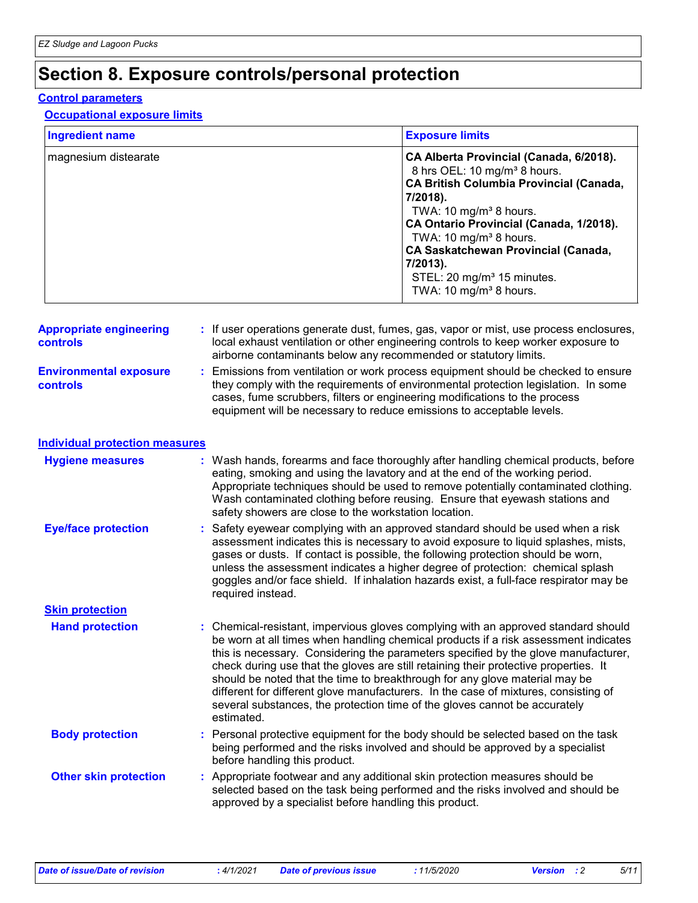### **Section 8. Exposure controls/personal protection**

#### **Control parameters**

#### **Occupational exposure limits**

| <b>Ingredient name</b> | <b>Exposure limits</b>                                                                                                                                                                                                                                                                                                                                                                                             |
|------------------------|--------------------------------------------------------------------------------------------------------------------------------------------------------------------------------------------------------------------------------------------------------------------------------------------------------------------------------------------------------------------------------------------------------------------|
| magnesium distearate   | CA Alberta Provincial (Canada, 6/2018).<br>8 hrs OEL: 10 mg/m <sup>3</sup> 8 hours.<br><b>CA British Columbia Provincial (Canada,</b><br>7/2018).<br>TWA: 10 mg/m <sup>3</sup> 8 hours.<br>CA Ontario Provincial (Canada, 1/2018).<br>TWA: 10 mg/m <sup>3</sup> 8 hours.<br><b>CA Saskatchewan Provincial (Canada,</b><br>7/2013).<br>STEL: 20 mg/m <sup>3</sup> 15 minutes.<br>TWA: 10 mg/m <sup>3</sup> 8 hours. |

| <b>Appropriate engineering</b><br><b>controls</b> | : If user operations generate dust, fumes, gas, vapor or mist, use process enclosures,<br>local exhaust ventilation or other engineering controls to keep worker exposure to<br>airborne contaminants below any recommended or statutory limits.                                                                                |
|---------------------------------------------------|---------------------------------------------------------------------------------------------------------------------------------------------------------------------------------------------------------------------------------------------------------------------------------------------------------------------------------|
| <b>Environmental exposure</b><br><b>controls</b>  | : Emissions from ventilation or work process equipment should be checked to ensure<br>they comply with the requirements of environmental protection legislation. In some<br>cases, fume scrubbers, filters or engineering modifications to the process<br>equipment will be necessary to reduce emissions to acceptable levels. |

| Individual protection measures |  |
|--------------------------------|--|
|--------------------------------|--|

| <b>Hygiene measures</b>      |    | : Wash hands, forearms and face thoroughly after handling chemical products, before<br>eating, smoking and using the lavatory and at the end of the working period.<br>Appropriate techniques should be used to remove potentially contaminated clothing.<br>Wash contaminated clothing before reusing. Ensure that eyewash stations and<br>safety showers are close to the workstation location.                                                                                                                                                                                                                         |
|------------------------------|----|---------------------------------------------------------------------------------------------------------------------------------------------------------------------------------------------------------------------------------------------------------------------------------------------------------------------------------------------------------------------------------------------------------------------------------------------------------------------------------------------------------------------------------------------------------------------------------------------------------------------------|
| <b>Eye/face protection</b>   |    | : Safety eyewear complying with an approved standard should be used when a risk<br>assessment indicates this is necessary to avoid exposure to liquid splashes, mists,<br>gases or dusts. If contact is possible, the following protection should be worn,<br>unless the assessment indicates a higher degree of protection: chemical splash<br>goggles and/or face shield. If inhalation hazards exist, a full-face respirator may be<br>required instead.                                                                                                                                                               |
| <b>Skin protection</b>       |    |                                                                                                                                                                                                                                                                                                                                                                                                                                                                                                                                                                                                                           |
| <b>Hand protection</b>       |    | : Chemical-resistant, impervious gloves complying with an approved standard should<br>be worn at all times when handling chemical products if a risk assessment indicates<br>this is necessary. Considering the parameters specified by the glove manufacturer,<br>check during use that the gloves are still retaining their protective properties. It<br>should be noted that the time to breakthrough for any glove material may be<br>different for different glove manufacturers. In the case of mixtures, consisting of<br>several substances, the protection time of the gloves cannot be accurately<br>estimated. |
| <b>Body protection</b>       |    | : Personal protective equipment for the body should be selected based on the task<br>being performed and the risks involved and should be approved by a specialist<br>before handling this product.                                                                                                                                                                                                                                                                                                                                                                                                                       |
| <b>Other skin protection</b> | ÷. | Appropriate footwear and any additional skin protection measures should be<br>selected based on the task being performed and the risks involved and should be<br>approved by a specialist before handling this product.                                                                                                                                                                                                                                                                                                                                                                                                   |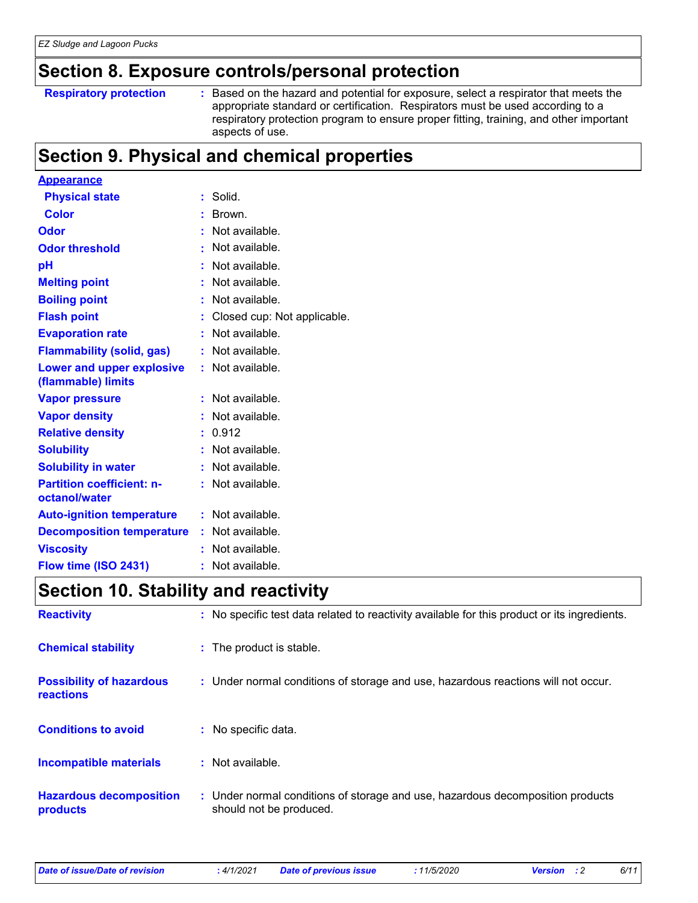### **Section 8. Exposure controls/personal protection**

**Respiratory protection :**

: Based on the hazard and potential for exposure, select a respirator that meets the appropriate standard or certification. Respirators must be used according to a respiratory protection program to ensure proper fitting, training, and other important aspects of use.

### **Section 9. Physical and chemical properties**

| <b>Appearance</b>                                 |    |                             |
|---------------------------------------------------|----|-----------------------------|
| <b>Physical state</b>                             |    | Solid.                      |
| <b>Color</b>                                      |    | Brown.                      |
| <b>Odor</b>                                       |    | Not available.              |
| <b>Odor threshold</b>                             |    | Not available.              |
| рH                                                |    | Not available.              |
| <b>Melting point</b>                              |    | Not available.              |
| <b>Boiling point</b>                              |    | Not available.              |
| <b>Flash point</b>                                |    | Closed cup: Not applicable. |
| <b>Evaporation rate</b>                           |    | Not available.              |
| <b>Flammability (solid, gas)</b>                  |    | Not available.              |
| Lower and upper explosive<br>(flammable) limits   |    | : Not available.            |
| <b>Vapor pressure</b>                             |    | Not available.              |
| <b>Vapor density</b>                              |    | Not available.              |
| <b>Relative density</b>                           | t. | 0.912                       |
| <b>Solubility</b>                                 |    | Not available.              |
| <b>Solubility in water</b>                        |    | Not available.              |
| <b>Partition coefficient: n-</b><br>octanol/water |    | Not available.              |
| <b>Auto-ignition temperature</b>                  |    | : Not available.            |
| <b>Decomposition temperature</b>                  | t. | Not available.              |
| <b>Viscosity</b>                                  |    | Not available.              |
| Flow time (ISO 2431)                              | ۰  | Not available.              |

### **Section 10. Stability and reactivity**

| <b>Reactivity</b>                            | : No specific test data related to reactivity available for this product or its ingredients.              |
|----------------------------------------------|-----------------------------------------------------------------------------------------------------------|
| <b>Chemical stability</b>                    | : The product is stable.                                                                                  |
| <b>Possibility of hazardous</b><br>reactions | : Under normal conditions of storage and use, hazardous reactions will not occur.                         |
| <b>Conditions to avoid</b>                   | : No specific data.                                                                                       |
| <b>Incompatible materials</b>                | : Not available.                                                                                          |
| <b>Hazardous decomposition</b><br>products   | : Under normal conditions of storage and use, hazardous decomposition products<br>should not be produced. |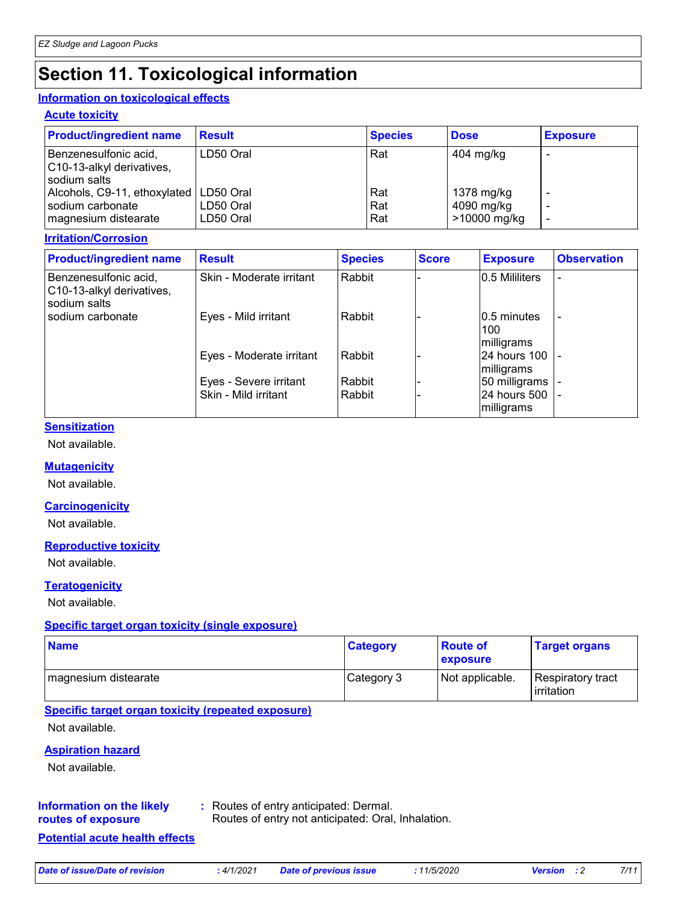## **Section 11. Toxicological information**

#### **Information on toxicological effects**

#### **Acute toxicity**

| <b>Product/ingredient name</b>                                       | <b>Result</b>          | <b>Species</b> | <b>Dose</b>                | <b>Exposure</b> |
|----------------------------------------------------------------------|------------------------|----------------|----------------------------|-----------------|
| Benzenesulfonic acid,<br>C10-13-alkyl derivatives,<br>l sodium salts | LD50 Oral              | Rat            | 404 mg/kg                  |                 |
| Alcohols, C9-11, ethoxylated   LD50 Oral                             |                        | Rat            | 1378 mg/kg                 |                 |
| I sodium carbonate<br>magnesium distearate                           | LD50 Oral<br>LD50 Oral | Rat<br>Rat     | 4090 mg/kg<br>>10000 mg/kg |                 |

#### **Irritation/Corrosion**

| <b>Product/ingredient name</b>                                     | <b>Result</b>            | <b>Species</b> | <b>Score</b> | <b>Exposure</b>                   | <b>Observation</b> |
|--------------------------------------------------------------------|--------------------------|----------------|--------------|-----------------------------------|--------------------|
| Benzenesulfonic acid,<br>C10-13-alkyl derivatives,<br>sodium salts | Skin - Moderate irritant | Rabbit         |              | 0.5 Mililiters                    |                    |
| sodium carbonate                                                   | Eyes - Mild irritant     | Rabbit         |              | 10.5 minutes<br>100<br>milligrams |                    |
|                                                                    | Eyes - Moderate irritant | Rabbit         |              | 24 hours 100<br>milligrams        |                    |
|                                                                    | Eyes - Severe irritant   | Rabbit         |              | 50 milligrams                     |                    |
|                                                                    | Skin - Mild irritant     | Rabbit         |              | 24 hours 500<br>milligrams        |                    |

#### **Sensitization**

Not available.

#### **Mutagenicity**

Not available.

#### **Carcinogenicity**

Not available.

#### **Reproductive toxicity**

Not available.

#### **Teratogenicity**

Not available.

#### **Specific target organ toxicity (single exposure)**

| <b>Name</b>          | <b>Category</b> | <b>Route of</b><br>exposure | <b>Target organs</b>                     |
|----------------------|-----------------|-----------------------------|------------------------------------------|
| magnesium distearate | Category 3      | Not applicable.             | Respiratory tract<br><b>l</b> irritation |

#### **Specific target organ toxicity (repeated exposure)**

Not available.

#### **Aspiration hazard**

Not available.

#### **Information on the likely routes of exposure**

**:** Routes of entry anticipated: Dermal.

Routes of entry not anticipated: Oral, Inhalation.

#### **Potential acute health effects**

*Date of issue/Date of revision* **:** *4/1/2021 Date of previous issue : 11/5/2020 Version : 2 7/11*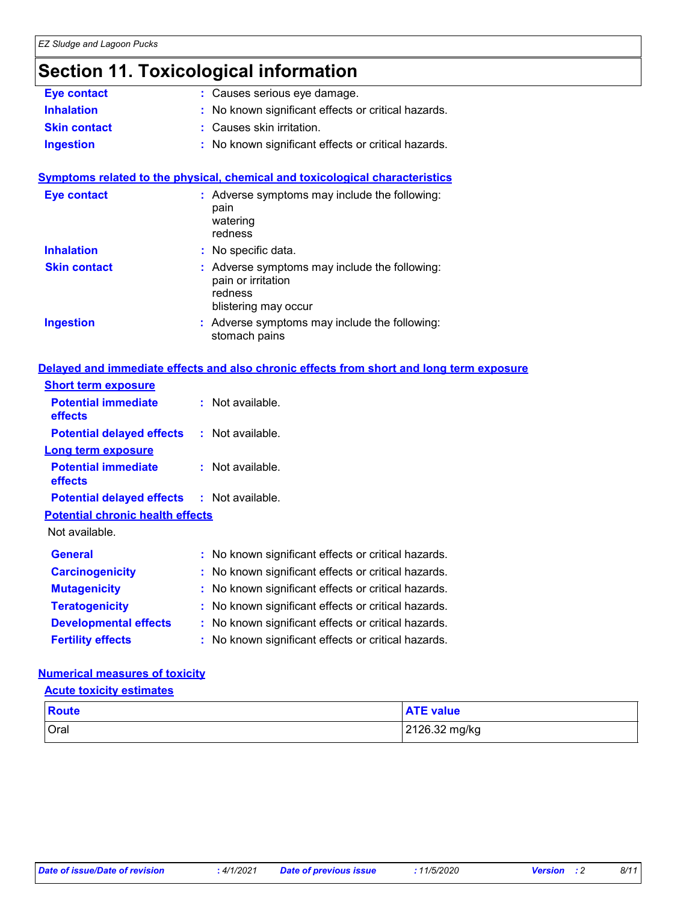### **Section 11. Toxicological information**

| <b>Eye contact</b>  | : Causes serious eye damage.                        |
|---------------------|-----------------------------------------------------|
| <b>Inhalation</b>   | : No known significant effects or critical hazards. |
| <b>Skin contact</b> | : Causes skin irritation.                           |
| <b>Ingestion</b>    | : No known significant effects or critical hazards. |

#### **Symptoms related to the physical, chemical and toxicological characteristics**

| <b>Eye contact</b>  | : Adverse symptoms may include the following:<br>pain<br>watering<br>redness                           |
|---------------------|--------------------------------------------------------------------------------------------------------|
| <b>Inhalation</b>   | : No specific data.                                                                                    |
| <b>Skin contact</b> | : Adverse symptoms may include the following:<br>pain or irritation<br>redness<br>blistering may occur |
| <b>Ingestion</b>    | : Adverse symptoms may include the following:<br>stomach pains                                         |

#### **Delayed and immediate effects and also chronic effects from short and long term exposure**

| <b>Short term exposure</b>                        |    |                    |  |
|---------------------------------------------------|----|--------------------|--|
| <b>Potential immediate</b><br>effects             | t. | Not available.     |  |
| <b>Potential delayed effects</b>                  |    | $:$ Not available. |  |
| <b>Long term exposure</b>                         |    |                    |  |
| <b>Potential immediate</b><br>effects             |    | $:$ Not available. |  |
| <b>Potential delayed effects : Not available.</b> |    |                    |  |
| <b>Potential chronic health effects</b>           |    |                    |  |

Not available.

| <b>General</b>               | : No known significant effects or critical hazards. |
|------------------------------|-----------------------------------------------------|
| <b>Carcinogenicity</b>       | : No known significant effects or critical hazards. |
| <b>Mutagenicity</b>          | : No known significant effects or critical hazards. |
| <b>Teratogenicity</b>        | : No known significant effects or critical hazards. |
| <b>Developmental effects</b> | : No known significant effects or critical hazards. |
| <b>Fertility effects</b>     | : No known significant effects or critical hazards. |

#### **Numerical measures of toxicity**

#### **Acute toxicity estimates**

| <b>Route</b> | <b>ATE value</b> |
|--------------|------------------|
| Oral         | 2126.32 mg/kg    |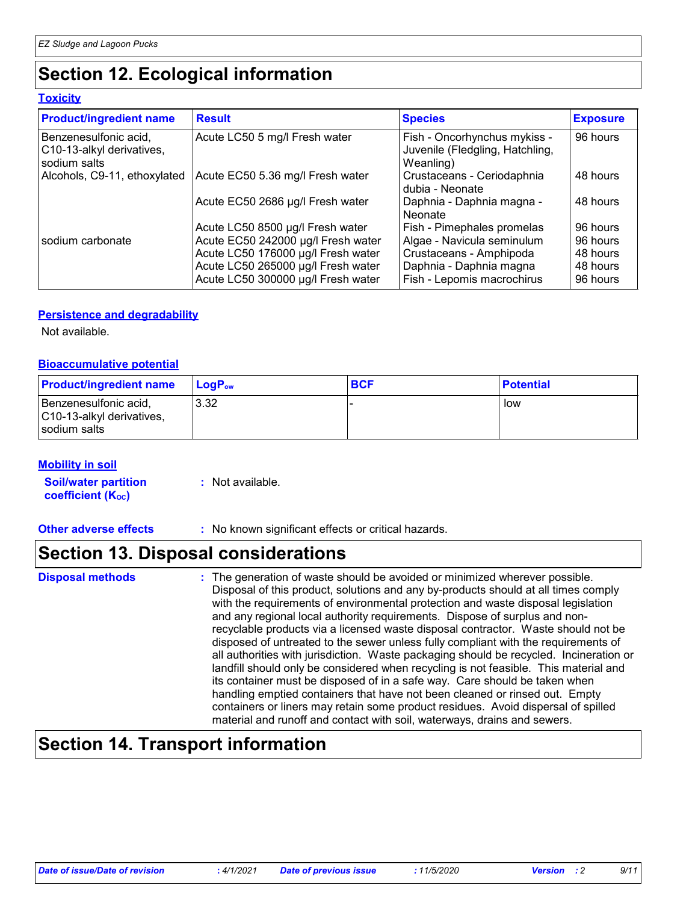### **Section 12. Ecological information**

#### **Toxicity**

| <b>Product/ingredient name</b>                                     | <b>Result</b>                      | <b>Species</b>                                                               | <b>Exposure</b> |
|--------------------------------------------------------------------|------------------------------------|------------------------------------------------------------------------------|-----------------|
| Benzenesulfonic acid,<br>C10-13-alkyl derivatives,<br>sodium salts | Acute LC50 5 mg/l Fresh water      | Fish - Oncorhynchus mykiss -<br>Juvenile (Fledgling, Hatchling,<br>Weanling) | 96 hours        |
| Alcohols, C9-11, ethoxylated                                       | Acute EC50 5.36 mg/l Fresh water   | Crustaceans - Ceriodaphnia<br>dubia - Neonate                                | 48 hours        |
|                                                                    | Acute EC50 2686 µg/l Fresh water   | Daphnia - Daphnia magna -<br>Neonate                                         | 48 hours        |
|                                                                    | Acute LC50 8500 µg/l Fresh water   | Fish - Pimephales promelas                                                   | 96 hours        |
| I sodium carbonate                                                 | Acute EC50 242000 µg/l Fresh water | Algae - Navicula seminulum                                                   | 96 hours        |
|                                                                    | Acute LC50 176000 µg/l Fresh water | Crustaceans - Amphipoda                                                      | 48 hours        |
|                                                                    | Acute LC50 265000 µg/l Fresh water | Daphnia - Daphnia magna                                                      | 48 hours        |
|                                                                    | Acute LC50 300000 µg/l Fresh water | Fish - Lepomis macrochirus                                                   | 96 hours        |

#### **Persistence and degradability**

Not available.

#### **Bioaccumulative potential**

| <b>Product/ingredient name</b>                                     | <b>LogP</b> <sub>ow</sub> | <b>BCF</b> | <b>Potential</b> |
|--------------------------------------------------------------------|---------------------------|------------|------------------|
| Benzenesulfonic acid,<br>C10-13-alkyl derivatives,<br>sodium salts | 3.32                      |            | low              |

#### **Mobility in soil**

**Soil/water partition coefficient (KOC) :** Not available.

**Other adverse effects** : No known significant effects or critical hazards.

### **Section 13. Disposal considerations**

The generation of waste should be avoided or minimized wherever possible. Disposal of this product, solutions and any by-products should at all times comply with the requirements of environmental protection and waste disposal legislation and any regional local authority requirements. Dispose of surplus and nonrecyclable products via a licensed waste disposal contractor. Waste should not be disposed of untreated to the sewer unless fully compliant with the requirements of all authorities with jurisdiction. Waste packaging should be recycled. Incineration or landfill should only be considered when recycling is not feasible. This material and its container must be disposed of in a safe way. Care should be taken when handling emptied containers that have not been cleaned or rinsed out. Empty containers or liners may retain some product residues. Avoid dispersal of spilled material and runoff and contact with soil, waterways, drains and sewers. **Disposal methods :**

### **Section 14. Transport information**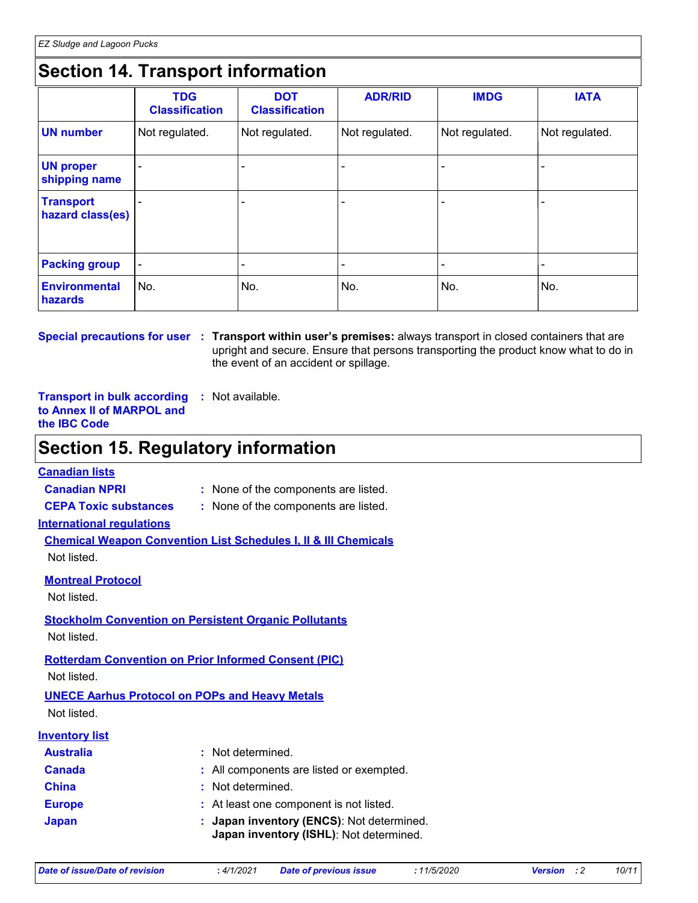### **Section 14. Transport information**

|                                      | <b>TDG</b><br><b>Classification</b> | <b>DOT</b><br><b>Classification</b> | <b>ADR/RID</b> | <b>IMDG</b>              | <b>IATA</b>    |
|--------------------------------------|-------------------------------------|-------------------------------------|----------------|--------------------------|----------------|
| <b>UN number</b>                     | Not regulated.                      | Not regulated.                      | Not regulated. | Not regulated.           | Not regulated. |
| <b>UN proper</b><br>shipping name    |                                     |                                     |                |                          |                |
| <b>Transport</b><br>hazard class(es) |                                     |                                     |                |                          |                |
| <b>Packing group</b>                 | $\blacksquare$                      |                                     |                | $\overline{\phantom{0}}$ |                |
| <b>Environmental</b><br>hazards      | No.                                 | No.                                 | No.            | No.                      | No.            |

**Special precautions for user Transport within user's premises:** always transport in closed containers that are **:** upright and secure. Ensure that persons transporting the product know what to do in the event of an accident or spillage.

**Transport in bulk according :** Not available. **to Annex II of MARPOL and the IBC Code**

### **Section 15. Regulatory information**

#### **Canadian lists**

**Canadian NPRI :** None of the components are listed.

**CEPA Toxic substances :** None of the components are listed.

**International regulations**

**Chemical Weapon Convention List Schedules I, II & III Chemicals** Not listed.

**Montreal Protocol**

Not listed.

**Stockholm Convention on Persistent Organic Pollutants** Not listed.

**Rotterdam Convention on Prior Informed Consent (PIC)**

Not listed.

### **UNECE Aarhus Protocol on POPs and Heavy Metals**

Not listed.

| <b>Inventory list</b> |                                                                                      |
|-----------------------|--------------------------------------------------------------------------------------|
| <b>Australia</b>      | : Not determined.                                                                    |
| <b>Canada</b>         | : All components are listed or exempted.                                             |
| <b>China</b>          | : Not determined.                                                                    |
| <b>Europe</b>         | : At least one component is not listed.                                              |
| <b>Japan</b>          | : Japan inventory (ENCS): Not determined.<br>Japan inventory (ISHL): Not determined. |